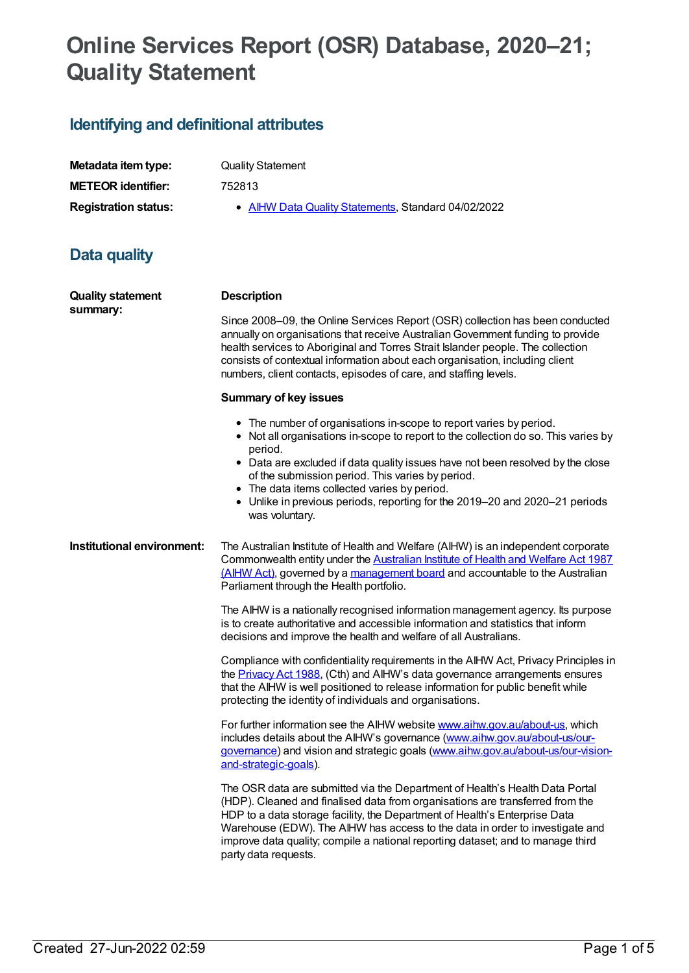# **Online Services Report (OSR) Database, 2020–21; Quality Statement**

# **Identifying and definitional attributes**

| Metadata item type:         | <b>Quality Statement</b>                            |
|-----------------------------|-----------------------------------------------------|
| <b>METEOR identifier:</b>   | 752813                                              |
| <b>Registration status:</b> | • AIHW Data Quality Statements, Standard 04/02/2022 |
|                             |                                                     |
|                             |                                                     |

## **Data quality**

| <b>Quality statement</b><br>summary: | <b>Description</b>                                                                                                                                                                                                                                                                                                                                                                                                                                         |  |
|--------------------------------------|------------------------------------------------------------------------------------------------------------------------------------------------------------------------------------------------------------------------------------------------------------------------------------------------------------------------------------------------------------------------------------------------------------------------------------------------------------|--|
|                                      | Since 2008–09, the Online Services Report (OSR) collection has been conducted<br>annually on organisations that receive Australian Government funding to provide<br>health services to Aboriginal and Torres Strait Islander people. The collection<br>consists of contextual information about each organisation, including client<br>numbers, client contacts, episodes of care, and staffing levels.                                                    |  |
|                                      | <b>Summary of key issues</b>                                                                                                                                                                                                                                                                                                                                                                                                                               |  |
|                                      | • The number of organisations in-scope to report varies by period.<br>• Not all organisations in-scope to report to the collection do so. This varies by<br>period.<br>• Data are excluded if data quality issues have not been resolved by the close<br>of the submission period. This varies by period.<br>• The data items collected varies by period.<br>• Unlike in previous periods, reporting for the 2019-20 and 2020-21 periods<br>was voluntary. |  |
| Institutional environment:           | The Australian Institute of Health and Welfare (AIHW) is an independent corporate<br>Commonwealth entity under the Australian Institute of Health and Welfare Act 1987<br>(AlHW Act), governed by a management board and accountable to the Australian<br>Parliament through the Health portfolio.                                                                                                                                                         |  |
|                                      | The AIHW is a nationally recognised information management agency. Its purpose<br>is to create authoritative and accessible information and statistics that inform<br>decisions and improve the health and welfare of all Australians.                                                                                                                                                                                                                     |  |
|                                      | Compliance with confidentiality requirements in the AIHW Act, Privacy Principles in<br>the Privacy Act 1988, (Cth) and AIHW's data governance arrangements ensures<br>that the AIHW is well positioned to release information for public benefit while<br>protecting the identity of individuals and organisations.                                                                                                                                        |  |
|                                      | For further information see the AIHW website www.aihw.gov.au/about-us, which<br>includes details about the AIHW's governance (www.aihw.gov.au/about-us/our-<br>governance) and vision and strategic goals (www.aihw.gov.au/about-us/our-vision-<br>and-strategic-goals).                                                                                                                                                                                   |  |
|                                      | The OSR data are submitted via the Department of Health's Health Data Portal<br>(HDP). Cleaned and finalised data from organisations are transferred from the<br>HDP to a data storage facility, the Department of Health's Enterprise Data<br>Warehouse (EDW). The AIHW has access to the data in order to investigate and<br>improve data quality; compile a national reporting dataset; and to manage third<br>party data requests.                     |  |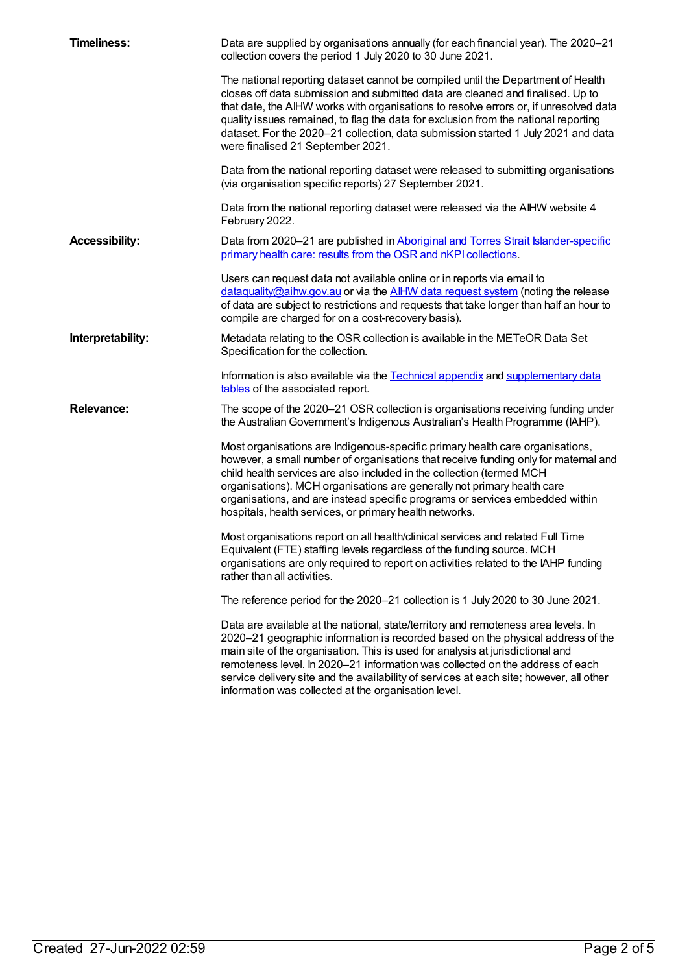| <b>Timeliness:</b>    | Data are supplied by organisations annually (for each financial year). The 2020–21<br>collection covers the period 1 July 2020 to 30 June 2021.                                                                                                                                                                                                                                                                                                                                             |
|-----------------------|---------------------------------------------------------------------------------------------------------------------------------------------------------------------------------------------------------------------------------------------------------------------------------------------------------------------------------------------------------------------------------------------------------------------------------------------------------------------------------------------|
|                       | The national reporting dataset cannot be compiled until the Department of Health<br>closes off data submission and submitted data are cleaned and finalised. Up to<br>that date, the AIHW works with organisations to resolve errors or, if unresolved data<br>quality issues remained, to flag the data for exclusion from the national reporting<br>dataset. For the 2020-21 collection, data submission started 1 July 2021 and data<br>were finalised 21 September 2021.                |
|                       | Data from the national reporting dataset were released to submitting organisations<br>(via organisation specific reports) 27 September 2021.                                                                                                                                                                                                                                                                                                                                                |
|                       | Data from the national reporting dataset were released via the AIHW website 4<br>February 2022.                                                                                                                                                                                                                                                                                                                                                                                             |
| <b>Accessibility:</b> | Data from 2020-21 are published in Aboriginal and Torres Strait Islander-specific<br>primary health care: results from the OSR and nKPI collections.                                                                                                                                                                                                                                                                                                                                        |
|                       | Users can request data not available online or in reports via email to<br>dataguality@aihw.gov.au or via the AIHW data request system (noting the release<br>of data are subject to restrictions and requests that take longer than half an hour to<br>compile are charged for on a cost-recovery basis).                                                                                                                                                                                   |
| Interpretability:     | Metadata relating to the OSR collection is available in the METeOR Data Set<br>Specification for the collection.                                                                                                                                                                                                                                                                                                                                                                            |
|                       | Information is also available via the Technical appendix and supplementary data<br>tables of the associated report.                                                                                                                                                                                                                                                                                                                                                                         |
| <b>Relevance:</b>     | The scope of the 2020-21 OSR collection is organisations receiving funding under<br>the Australian Government's Indigenous Australian's Health Programme (IAHP).                                                                                                                                                                                                                                                                                                                            |
|                       | Most organisations are Indigenous-specific primary health care organisations,<br>however, a small number of organisations that receive funding only for maternal and<br>child health services are also included in the collection (termed MCH<br>organisations). MCH organisations are generally not primary health care<br>organisations, and are instead specific programs or services embedded within<br>hospitals, health services, or primary health networks.                         |
|                       | Most organisations report on all health/clinical services and related Full Time<br>Equivalent (FTE) staffing levels regardless of the funding source. MCH<br>organisations are only required to report on activities related to the IAHP funding<br>rather than all activities.                                                                                                                                                                                                             |
|                       | The reference period for the 2020-21 collection is 1 July 2020 to 30 June 2021.                                                                                                                                                                                                                                                                                                                                                                                                             |
|                       | Data are available at the national, state/territory and remoteness area levels. In<br>2020-21 geographic information is recorded based on the physical address of the<br>main site of the organisation. This is used for analysis at jurisdictional and<br>remoteness level. In 2020–21 information was collected on the address of each<br>service delivery site and the availability of services at each site; however, all other<br>information was collected at the organisation level. |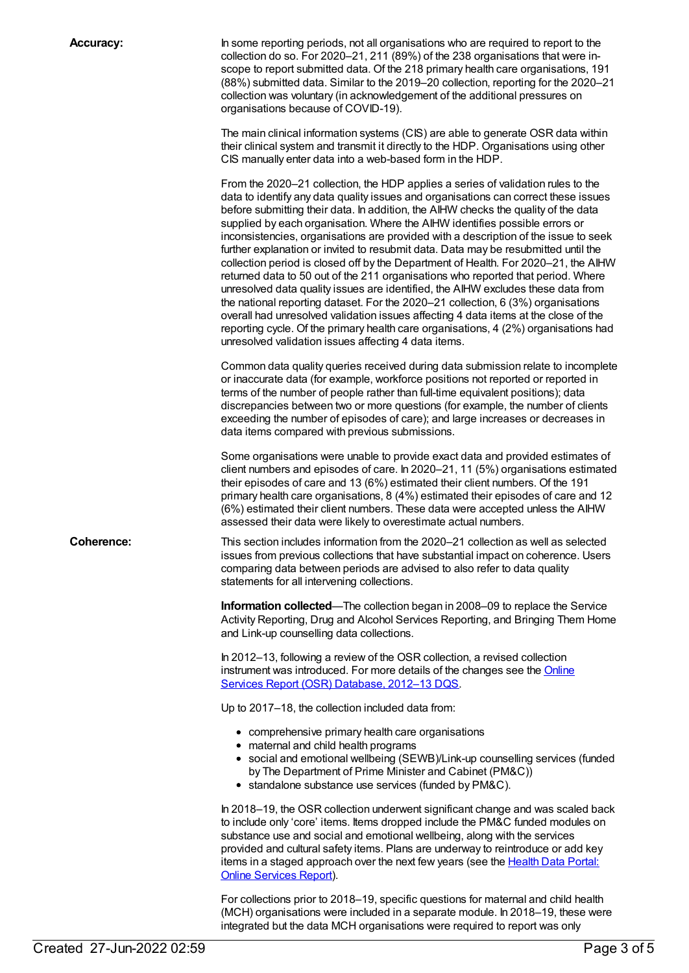**Accuracy:** In some reporting periods, not all organisations who are required to report to the collection do so. For 2020–21, 211 (89%) of the 238 organisations that were inscope to report submitted data. Of the 218 primary health care organisations, 191 (88%) submitted data. Similar to the 2019–20 collection, reporting for the 2020–21 collection was voluntary (in acknowledgement of the additional pressures on organisations because of COVID-19).

> The main clinical information systems (CIS) are able to generate OSR data within their clinical system and transmit it directly to the HDP. Organisations using other CIS manually enter data into a web-based form in the HDP.

From the 2020–21 collection, the HDP applies a series of validation rules to the data to identify any data quality issues and organisations can correct these issues before submitting their data. In addition, the AIHW checks the quality of the data supplied by each organisation. Where the AIHW identifies possible errors or inconsistencies, organisations are provided with a description of the issue to seek further explanation or invited to resubmit data. Data may be resubmitted until the collection period is closed off by the Department of Health. For 2020–21, the AIHW returned data to 50 out of the 211 organisations who reported that period. Where unresolved data quality issues are identified, the AIHW excludes these data from the national reporting dataset. For the 2020–21 collection, 6 (3%) organisations overall had unresolved validation issues affecting 4 data items at the close of the reporting cycle. Of the primary health care organisations, 4 (2%) organisations had unresolved validation issues affecting 4 data items.

Common data quality queries received during data submission relate to incomplete or inaccurate data (for example, workforce positions not reported or reported in terms of the number of people rather than full-time equivalent positions); data discrepancies between two or more questions (for example, the number of clients exceeding the number of episodes of care); and large increases or decreases in data items compared with previous submissions.

Some organisations were unable to provide exact data and provided estimates of client numbers and episodes of care. In 2020–21, 11 (5%) organisations estimated their episodes of care and 13 (6%) estimated their client numbers. Of the 191 primary health care organisations, 8 (4%) estimated their episodes of care and 12 (6%) estimated their client numbers. These data were accepted unless the AIHW assessed their data were likely to overestimate actual numbers.

**Coherence:** This section includes information from the 2020–21 collection as well as selected issues from previous collections that have substantial impact on coherence. Users comparing data between periods are advised to also refer to data quality statements for all intervening collections.

> **Information collected**—The collection began in 2008–09 to replace the Service Activity Reporting, Drug and Alcohol Services Reporting, and Bringing Them Home and Link-up counselling data collections.

In 2012–13, following a review of the OSR collection, a revised collection instrument was [introduced.](file:///content/561251) For more details of the changes see the Online Services Report (OSR) Database, 2012–13 DQS.

Up to 2017–18, the collection included data from:

- comprehensive primary health care organisations
- maternal and child health programs
- social and emotional wellbeing (SEWB)/Link-up counselling services (funded by The Department of Prime Minister and Cabinet (PM&C))
- standalone substance use services (funded by PM&C).

In 2018–19, the OSR collection underwent significant change and was scaled back to include only 'core' items. Items dropped include the PM&C funded modules on substance use and social and emotional wellbeing, along with the services provided and cultural safety items. Plans are underway to reintroduce or add key items in a staged [approach](https://www1.health.gov.au/internet/main/publishing.nsf/Content/health-data-portal-online-services-report-july-2020) over the next few years (see the Health Data Portal: Online Services Report).

For collections prior to 2018–19, specific questions for maternal and child health (MCH) organisations were included in a separate module. In 2018–19, these were integrated but the data MCH organisations were required to report was only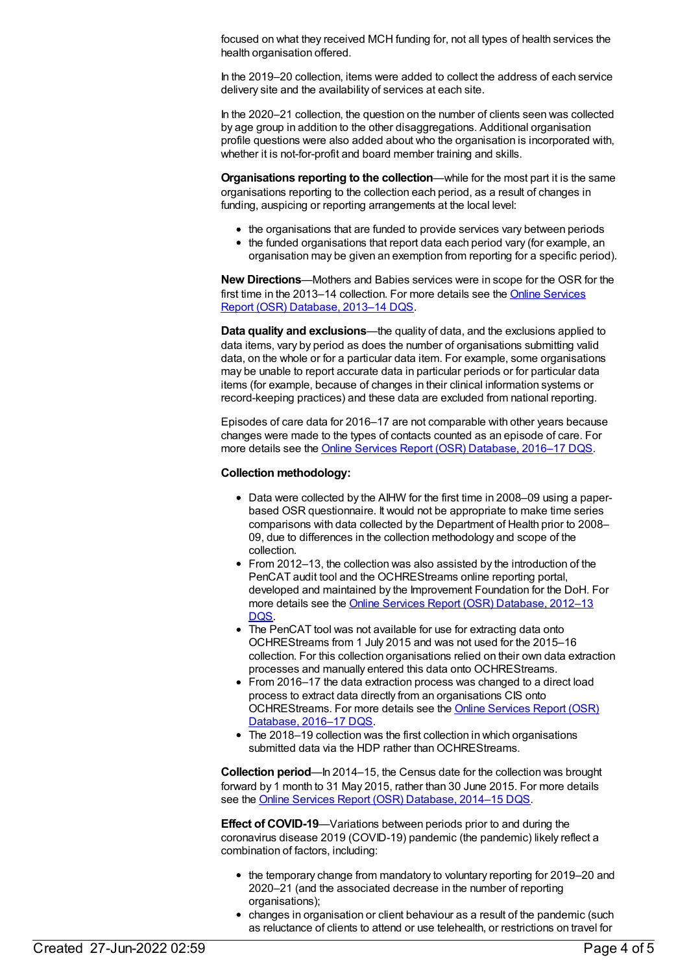focused on what they received MCH funding for, not all types of health services the health organisation offered.

In the 2019–20 collection, items were added to collect the address of each service delivery site and the availability of services at each site.

In the 2020–21 collection, the question on the number of clients seen was collected by age group in addition to the other disaggregations. Additional organisation profile questions were also added about who the organisation is incorporated with, whether it is not-for-profit and board member training and skills.

**Organisations reporting to the collection**—while for the most part it is the same organisations reporting to the collection each period, as a result of changes in funding, auspicing or reporting arrangements at the local level:

- the organisations that are funded to provide services vary between periods
- the funded organisations that report data each period vary (for example, an organisation may be given an exemption from reporting for a specific period).

**New Directions**—Mothers and Babies services were in scope for the OSR for the first time in the 2013–14 [collection.](file:///content/601336) For more details see the Online Services Report (OSR) Database, 2013–14 DQS.

**Data quality and exclusions**—the quality of data, and the exclusions applied to data items, vary by period as does the number of organisations submitting valid data, on the whole or for a particular data item. For example, some organisations may be unable to report accurate data in particular periods or for particular data items (for example, because of changes in their clinical information systems or record-keeping practices) and these data are excluded from national reporting.

Episodes of care data for 2016–17 are not comparable with other years because changes were made to the types of contacts counted as an episode of care. For more details see the Online Services Report (OSR) [Database,](file:///content/688427) 2016–17 DQS.

#### **Collection methodology:**

- Data were collected by the AIHW for the first time in 2008–09 using a paperbased OSR questionnaire. It would not be appropriate to make time series comparisons with data collected by the Department of Health prior to 2008– 09, due to differences in the collection methodology and scope of the collection.
- From 2012–13, the collection was also assisted by the introduction of the PenCAT audit tool and the OCHREStreams online reporting portal, developed and maintained by the Improvement Foundation for the DoH. For more details see the **Online Services Report (OSR) [Database,](file:///content/561251) 2012-13** DQS.
- The PenCAT tool was not available for use for extracting data onto OCHREStreams from 1 July 2015 and was not used for the 2015–16 collection. For this collection organisations relied on their own data extraction processes and manually entered this data onto OCHREStreams.
- From 2016–17 the data extraction process was changed to a direct load process to extract data directly from an organisations CIS onto [OCHREStreams.](file:///content/688427) For more details see the Online Services Report (OSR) Database, 2016–17 DQS.
- The 2018–19 collection was the first collection in which organisations submitted data via the HDP rather than OCHREStreams.

**Collection period—In** 2014–15, the Census date for the collection was brought forward by 1 month to 31 May 2015, rather than 30 June 2015. For more details see the Online Services Report (OSR) [Database,](file:///content/623095) 2014–15 DQS.

**Effect of COVID-19**—Variations between periods prior to and during the coronavirus disease 2019 (COVID-19) pandemic (the pandemic) likely reflect a combination of factors, including:

- the temporary change from mandatory to voluntary reporting for 2019–20 and 2020–21 (and the associated decrease in the number of reporting organisations);
- changes in organisation or client behaviour as a result of the pandemic (such as reluctance of clients to attend or use telehealth, or restrictions on travel for